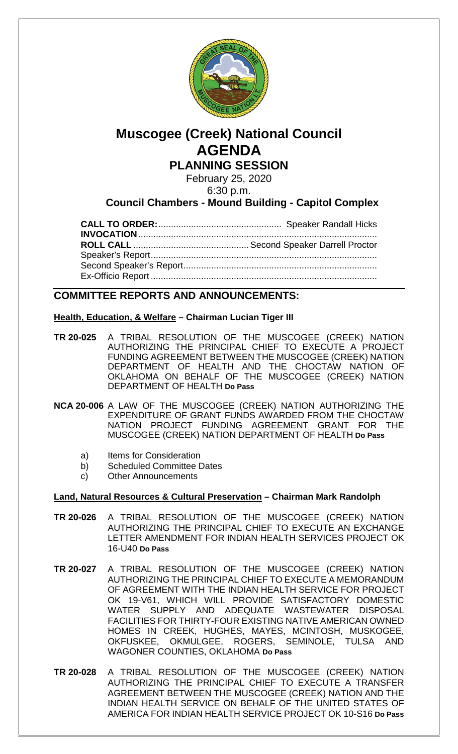

# **Muscogee (Creek) National Council AGENDA PLANNING SESSION**

February 25, 2020

6:30 p.m.

### **Council Chambers - Mound Building - Capitol Complex**

**CALL TO ORDER:**................................................. Speaker Randall Hicks **INVOCATION**............................................................................................... **ROLL CALL** ..............................................Second Speaker Darrell Proctor Speaker's Report.......................................................................................... Second Speaker's Report............................................................................. Ex-Officio Report ..........................................................................................

### **COMMITTEE REPORTS AND ANNOUNCEMENTS:**

#### **Health, Education, & Welfare – Chairman Lucian Tiger III**

- **TR 20-025** A TRIBAL RESOLUTION OF THE MUSCOGEE (CREEK) NATION AUTHORIZING THE PRINCIPAL CHIEF TO EXECUTE A PROJECT FUNDING AGREEMENT BETWEEN THE MUSCOGEE (CREEK) NATION DEPARTMENT OF HEALTH AND THE CHOCTAW NATION OF OKLAHOMA ON BEHALF OF THE MUSCOGEE (CREEK) NATION DEPARTMENT OF HEALTH **Do Pass**
- **NCA 20-006** A LAW OF THE MUSCOGEE (CREEK) NATION AUTHORIZING THE EXPENDITURE OF GRANT FUNDS AWARDED FROM THE CHOCTAW NATION PROJECT FUNDING AGREEMENT GRANT FOR THE MUSCOGEE (CREEK) NATION DEPARTMENT OF HEALTH **Do Pass**
	- a) Items for Consideration
	- b) Scheduled Committee Dates
	- c) Other Announcements

#### **Land, Natural Resources & Cultural Preservation – Chairman Mark Randolph**

- **TR 20-026** A TRIBAL RESOLUTION OF THE MUSCOGEE (CREEK) NATION AUTHORIZING THE PRINCIPAL CHIEF TO EXECUTE AN EXCHANGE LETTER AMENDMENT FOR INDIAN HEALTH SERVICES PROJECT OK 16-U40 **Do Pass**
- **TR 20-027** A TRIBAL RESOLUTION OF THE MUSCOGEE (CREEK) NATION AUTHORIZING THE PRINCIPAL CHIEF TO EXECUTE A MEMORANDUM OF AGREEMENT WITH THE INDIAN HEALTH SERVICE FOR PROJECT OK 19-V61, WHICH WILL PROVIDE SATISFACTORY DOMESTIC WATER SUPPLY AND ADEQUATE WASTEWATER DISPOSAL FACILITIES FOR THIRTY-FOUR EXISTING NATIVE AMERICAN OWNED HOMES IN CREEK, HUGHES, MAYES, MCINTOSH, MUSKOGEE, OKFUSKEE, OKMULGEE, ROGERS, SEMINOLE, TULSA AND WAGONER COUNTIES, OKLAHOMA **Do Pass**
- **TR 20-028** A TRIBAL RESOLUTION OF THE MUSCOGEE (CREEK) NATION AUTHORIZING THE PRINCIPAL CHIEF TO EXECUTE A TRANSFER AGREEMENT BETWEEN THE MUSCOGEE (CREEK) NATION AND THE INDIAN HEALTH SERVICE ON BEHALF OF THE UNITED STATES OF AMERICA FOR INDIAN HEALTH SERVICE PROJECT OK 10-S16 **Do Pass**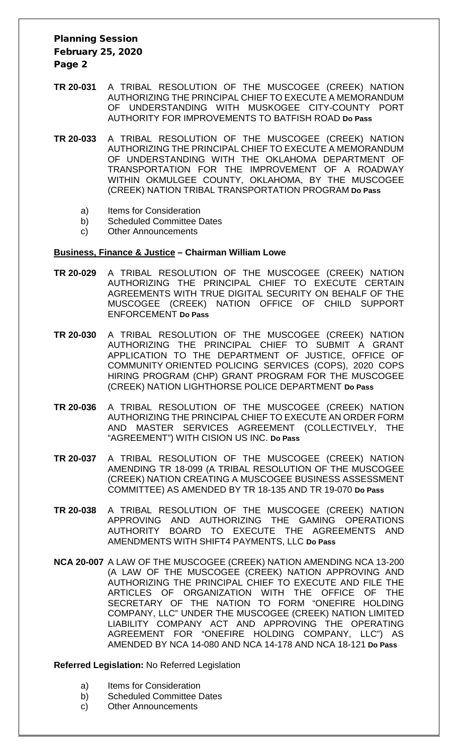### Planning Session February 25, 2020 Page 2

- **TR 20-031** A TRIBAL RESOLUTION OF THE MUSCOGEE (CREEK) NATION AUTHORIZING THE PRINCIPAL CHIEF TO EXECUTE A MEMORANDUM OF UNDERSTANDING WITH MUSKOGEE CITY-COUNTY PORT AUTHORITY FOR IMPROVEMENTS TO BATFISH ROAD **Do Pass**
- **TR 20-033** A TRIBAL RESOLUTION OF THE MUSCOGEE (CREEK) NATION AUTHORIZING THE PRINCIPAL CHIEF TO EXECUTE A MEMORANDUM OF UNDERSTANDING WITH THE OKLAHOMA DEPARTMENT OF TRANSPORTATION FOR THE IMPROVEMENT OF A ROADWAY WITHIN OKMULGEE COUNTY, OKLAHOMA, BY THE MUSCOGEE (CREEK) NATION TRIBAL TRANSPORTATION PROGRAM **Do Pass**
	- a) Items for Consideration
	- b) Scheduled Committee Dates
	- c) Other Announcements

#### **Business, Finance & Justice – Chairman William Lowe**

- **TR 20-029** A TRIBAL RESOLUTION OF THE MUSCOGEE (CREEK) NATION AUTHORIZING THE PRINCIPAL CHIEF TO EXECUTE CERTAIN AGREEMENTS WITH TRUE DIGITAL SECURITY ON BEHALF OF THE MUSCOGEE (CREEK) NATION OFFICE OF CHILD SUPPORT ENFORCEMENT **Do Pass**
- **TR 20-030** A TRIBAL RESOLUTION OF THE MUSCOGEE (CREEK) NATION AUTHORIZING THE PRINCIPAL CHIEF TO SUBMIT A GRANT APPLICATION TO THE DEPARTMENT OF JUSTICE, OFFICE OF COMMUNITY ORIENTED POLICING SERVICES (COPS), 2020 COPS HIRING PROGRAM (CHP) GRANT PROGRAM FOR THE MUSCOGEE (CREEK) NATION LIGHTHORSE POLICE DEPARTMENT **Do Pass**
- **TR 20-036** A TRIBAL RESOLUTION OF THE MUSCOGEE (CREEK) NATION AUTHORIZING THE PRINCIPAL CHIEF TO EXECUTE AN ORDER FORM AND MASTER SERVICES AGREEMENT (COLLECTIVELY, THE "AGREEMENT") WITH CISION US INC. **Do Pass**
- **TR 20-037** A TRIBAL RESOLUTION OF THE MUSCOGEE (CREEK) NATION AMENDING TR 18-099 (A TRIBAL RESOLUTION OF THE MUSCOGEE (CREEK) NATION CREATING A MUSCOGEE BUSINESS ASSESSMENT COMMITTEE) AS AMENDED BY TR 18-135 AND TR 19-070 **Do Pass**
- **TR 20-038** A TRIBAL RESOLUTION OF THE MUSCOGEE (CREEK) NATION APPROVING AND AUTHORIZING THE GAMING OPERATIONS AUTHORITY BOARD TO EXECUTE THE AGREEMENTS AND AMENDMENTS WITH SHIFT4 PAYMENTS, LLC **Do Pass**
- **NCA 20-007** A LAW OF THE MUSCOGEE (CREEK) NATION AMENDING NCA 13-200 (A LAW OF THE MUSCOGEE (CREEK) NATION APPROVING AND AUTHORIZING THE PRINCIPAL CHIEF TO EXECUTE AND FILE THE ARTICLES OF ORGANIZATION WITH THE OFFICE OF THE SECRETARY OF THE NATION TO FORM "ONEFIRE HOLDING COMPANY, LLC" UNDER THE MUSCOGEE (CREEK) NATION LIMITED LIABILITY COMPANY ACT AND APPROVING THE OPERATING AGREEMENT FOR "ONEFIRE HOLDING COMPANY, LLC") AS AMENDED BY NCA 14-080 AND NCA 14-178 AND NCA 18-121 **Do Pass**

#### **Referred Legislation:** No Referred Legislation

- a) Items for Consideration
- b) Scheduled Committee Dates
- c) Other Announcements